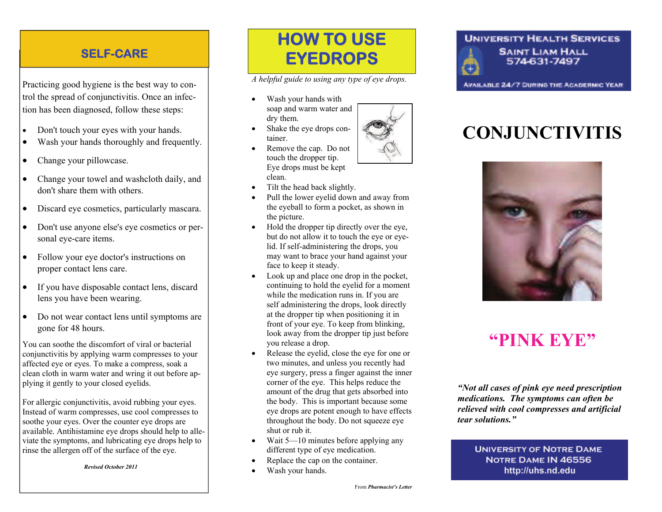### **SELF-CARE**

Practicing good hygiene is the best way to control the spread of conjunctivitis. Once an infection has been diagnosed, follow these steps:

- $\bullet$ Don't touch your eyes with your hands.
- $\bullet$ Wash your hands thoroughly and frequently.
- $\bullet$ Change your pillowcase.
- $\bullet$  Change your towel and washcloth daily, and don't share them with others.
- $\bullet$ Discard eye cosmetics, particularly mascara.
- $\bullet$  Don't use anyone else's eye cosmetics or personal eye-care items.
- $\bullet$  Follow your eye doctor's instructions on proper contact lens care.
- $\bullet$  If you have disposable contact lens, discard lens you have been wearing.
- $\bullet$  Do not wear contact lens until symptoms are gone for 48 hours.

You can soothe the discomfort of viral or bacterial conjunctivitis by applying warm compresses to your affected eye or eyes. To make a compress, soak a clean cloth in warm water and wring it out before applying it gently to your closed eyelids.

For allergic conjunctivitis, avoid rubbing your eyes. Instead of warm compresses, use cool compresses to soothe your eyes. Over the counter eye drops are available. Antihistamine eye drops should help to alleviate the symptoms, and lubricating eye drops help to rinse the allergen off of the surface of the eye.

 *Revised October 2011*

## **HOW TO USE EYEDROPS**

*A helpful guide to using any type of eye drops.* 

- $\bullet$  Wash your hands with soap and warm water and dry them.
- $\bullet$  Shake the eye drops container.
- $\bullet$  Remove the cap. Do not touch the dropper tip. Eye drops must be kept clean.
- $\bullet$ Tilt the head back slightly.
- $\bullet$  Pull the lower eyelid down and away from the eyeball to form a pocket, as shown in the picture.
- $\bullet$  Hold the dropper tip directly over the eye, but do not allow it to touch the eye or eyelid. If self-administering the drops, you may want to brace your hand against your face to keep it steady.
- Look up and place one drop in the pocket, continuing to hold the eyelid for a moment while the medication runs in. If you are self administering the drops, look directly at the dropper tip when positioning it in front of your eye. To keep from blinking, look away from the dropper tip just before you release a drop.
- $\bullet$  Release the eyelid, close the eye for one or two minutes, and unless you recently had eye surgery, press a finger against the inner corner of the eye. This helps reduce the amount of the drug that gets absorbed into the body. This is important because some eye drops are potent enough to have effects throughout the body. Do not squeeze eye shut or rub it.
- $\bullet$  Wait 5—10 minutes before applying any different type of eye medication.
- $\bullet$ Replace the cap on the container.
- $\bullet$ Wash your hands.

#### **UNIVERSITY HEALTH SERVICES SAINT LIAM HALL** 574-631-7497

**AVAILABLE 24/7 DURING THE ACADERMIC YEAR** 

# **CONJUNCTIVITIS**



### **"PINK EYE"**

*"Not all cases of pink eye need prescription medications. The symptoms can often be relieved with cool compresses and artificial tear solutions."*

> **UNIVERSITY OF NOTRE DAME** NOTRE DAME IN 46556 http://uhs.nd.edu